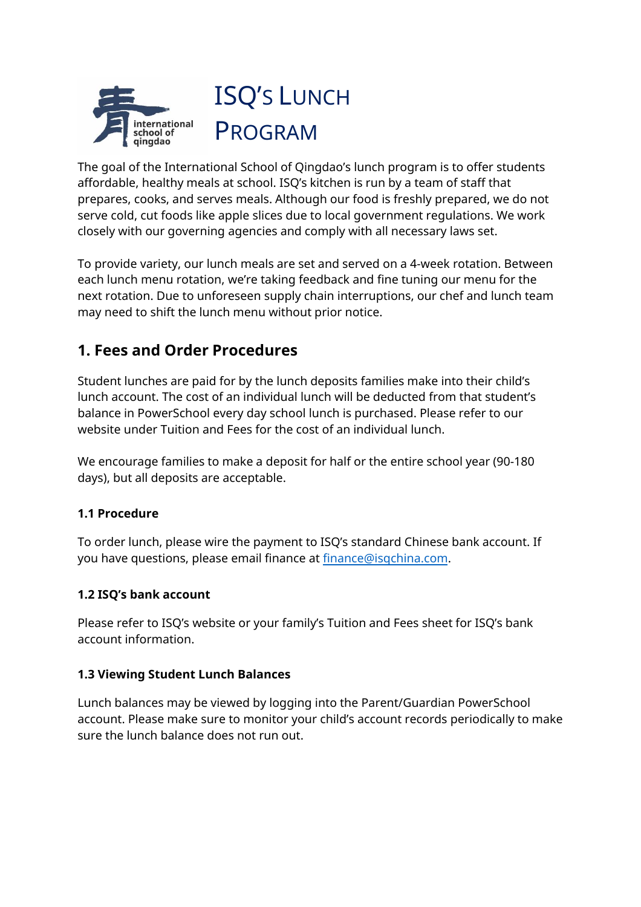

The goal of the International School of Qingdao's lunch program is to offer students affordable, healthy meals at school. ISQ's kitchen is run by a team of staff that prepares, cooks, and serves meals. Although our food is freshly prepared, we do not serve cold, cut foods like apple slices due to local government regulations. We work closely with our governing agencies and comply with all necessary laws set.

To provide variety, our lunch meals are set and served on a 4-week rotation. Between each lunch menu rotation, we're taking feedback and fine tuning our menu for the next rotation. Due to unforeseen supply chain interruptions, our chef and lunch team may need to shift the lunch menu without prior notice.

# **1. Fees and Order Procedures**

Student lunches are paid for by the lunch deposits families make into their child's lunch account. The cost of an individual lunch will be deducted from that student's balance in PowerSchool every day school lunch is purchased. Please refer to our website under Tuition and Fees for the cost of an individual lunch.

We encourage families to make a deposit for half or the entire school year (90-180 days), but all deposits are acceptable.

#### **1.1 Procedure**

To order lunch, please wire the payment to ISQ's standard Chinese bank account. If you have questions, please email finance at [finance@isqchina.com.](mailto:finance@isqchina.com)

#### **1.2 ISQ's bank account**

Please refer to ISQ's website or your family's Tuition and Fees sheet for ISQ's bank account information.

#### **1.3 Viewing Student Lunch Balances**

Lunch balances may be viewed by logging into the Parent/Guardian PowerSchool account. Please make sure to monitor your child's account records periodically to make sure the lunch balance does not run out.